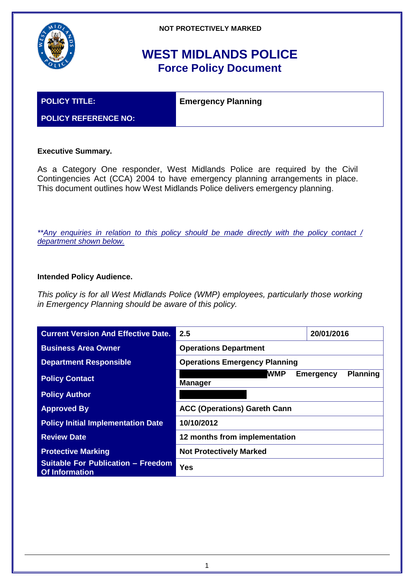

# **WEST MIDLANDS POLICE Force Policy Document**

**POLICY TITLE: Emergency Planning** 

## **POLICY REFERENCE NO:**

## **Executive Summary.**

As a Category One responder, West Midlands Police are required by the Civil Contingencies Act (CCA) 2004 to have emergency planning arrangements in place. This document outlines how West Midlands Police delivers emergency planning.

*\*\*Any enquiries in relation to this policy should be made directly with the policy contact / department shown below.*

### **Intended Policy Audience.**

*This policy is for all West Midlands Police (WMP) employees, particularly those working in Emergency Planning should be aware of this policy.*

| <b>Current Version And Effective Date.</b>                         | 2.5                                  | 20/01/2016                          |  |
|--------------------------------------------------------------------|--------------------------------------|-------------------------------------|--|
| <b>Business Area Owner</b>                                         | <b>Operations Department</b>         |                                     |  |
| <b>Department Responsible</b>                                      | <b>Operations Emergency Planning</b> |                                     |  |
| <b>Policy Contact</b>                                              | <b>WMP</b><br><b>Manager</b>         | <b>Planning</b><br><b>Emergency</b> |  |
| <b>Policy Author</b>                                               |                                      |                                     |  |
| <b>Approved By</b>                                                 | <b>ACC (Operations) Gareth Cann</b>  |                                     |  |
| <b>Policy Initial Implementation Date</b>                          | 10/10/2012                           |                                     |  |
| <b>Review Date</b>                                                 | 12 months from implementation        |                                     |  |
| <b>Protective Marking</b>                                          | <b>Not Protectively Marked</b>       |                                     |  |
| <b>Suitable For Publication - Freedom</b><br><b>Of Information</b> | <b>Yes</b>                           |                                     |  |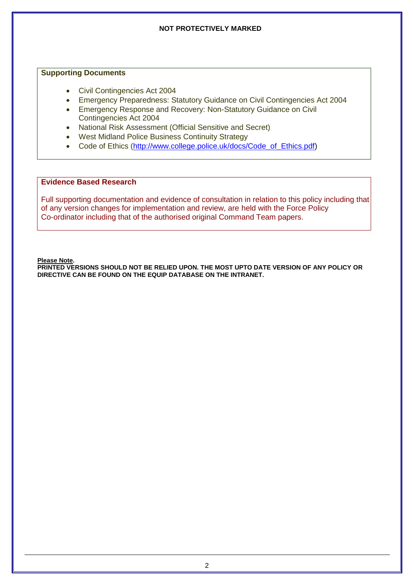#### **Supporting Documents**

- Civil Contingencies Act 2004
- Emergency Preparedness: Statutory Guidance on Civil Contingencies Act 2004
- Emergency Response and Recovery: Non-Statutory Guidance on Civil Contingencies Act 2004
- National Risk Assessment (Official Sensitive and Secret)
- West Midland Police Business Continuity Strategy
- Code of Ethics [\(http://www.college.police.uk/docs/Code\\_of\\_Ethics.pdf\)](http://www.college.police.uk/docs/Code_of_Ethics.pdf)

## **Evidence Based Research**

Full supporting documentation and evidence of consultation in relation to this policy including that of any version changes for implementation and review, are held with the Force Policy Co-ordinator including that of the authorised original Command Team papers.

**Please Note.**

**PRINTED VERSIONS SHOULD NOT BE RELIED UPON. THE MOST UPTO DATE VERSION OF ANY POLICY OR DIRECTIVE CAN BE FOUND ON THE EQUIP DATABASE ON THE INTRANET.**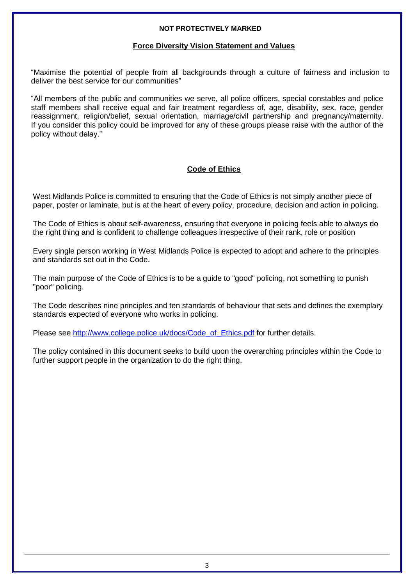#### **Force Diversity Vision Statement and Values**

"Maximise the potential of people from all backgrounds through a culture of fairness and inclusion to deliver the best service for our communities"

"All members of the public and communities we serve, all police officers, special constables and police staff members shall receive equal and fair treatment regardless of, age, disability, sex, race, gender reassignment, religion/belief, sexual orientation, marriage/civil partnership and pregnancy/maternity. If you consider this policy could be improved for any of these groups please raise with the author of the policy without delay."

## **Code of Ethics**

West Midlands Police is committed to ensuring that the Code of Ethics is not simply another piece of paper, poster or laminate, but is at the heart of every policy, procedure, decision and action in policing.

The Code of Ethics is about self-awareness, ensuring that everyone in policing feels able to always do the right thing and is confident to challenge colleagues irrespective of their rank, role or position

Every single person working in West Midlands Police is expected to adopt and adhere to the principles and standards set out in the Code.

The main purpose of the Code of Ethics is to be a guide to "good" policing, not something to punish "poor" policing.

The Code describes nine principles and ten standards of behaviour that sets and defines the exemplary standards expected of everyone who works in policing.

Please see [http://www.college.police.uk/docs/Code\\_of\\_Ethics.pdf](http://www.college.police.uk/docs/Code_of_Ethics.pdf) for further details.

The policy contained in this document seeks to build upon the overarching principles within the Code to further support people in the organization to do the right thing.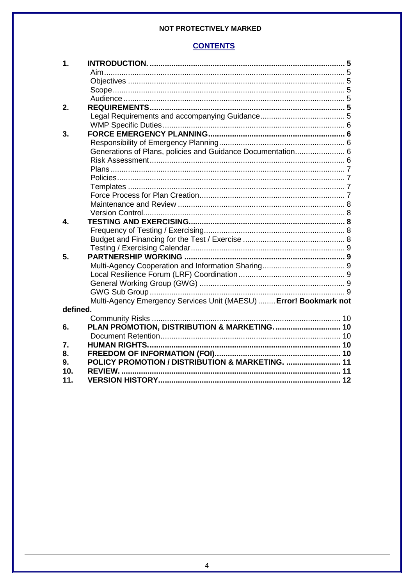## **CONTENTS**

| 1.       |                                                                   |  |
|----------|-------------------------------------------------------------------|--|
|          |                                                                   |  |
|          |                                                                   |  |
|          |                                                                   |  |
|          |                                                                   |  |
| 2.       |                                                                   |  |
|          |                                                                   |  |
|          |                                                                   |  |
| 3.       |                                                                   |  |
|          |                                                                   |  |
|          | Generations of Plans, policies and Guidance Documentation 6       |  |
|          |                                                                   |  |
|          |                                                                   |  |
|          |                                                                   |  |
|          |                                                                   |  |
|          |                                                                   |  |
|          |                                                                   |  |
|          |                                                                   |  |
| 4.       |                                                                   |  |
|          |                                                                   |  |
|          |                                                                   |  |
|          |                                                                   |  |
| 5.       |                                                                   |  |
|          |                                                                   |  |
|          |                                                                   |  |
|          |                                                                   |  |
|          |                                                                   |  |
|          | Multi-Agency Emergency Services Unit (MAESU)  Error! Bookmark not |  |
| defined. |                                                                   |  |
|          |                                                                   |  |
| 6.       | PLAN PROMOTION, DISTRIBUTION & MARKETING.  10                     |  |
|          |                                                                   |  |
| 7.       |                                                                   |  |
| 8.       |                                                                   |  |
| 9.       | POLICY PROMOTION / DISTRIBUTION & MARKETING.  11                  |  |
| 10.      | <b>REVIEW</b>                                                     |  |
| 11.      |                                                                   |  |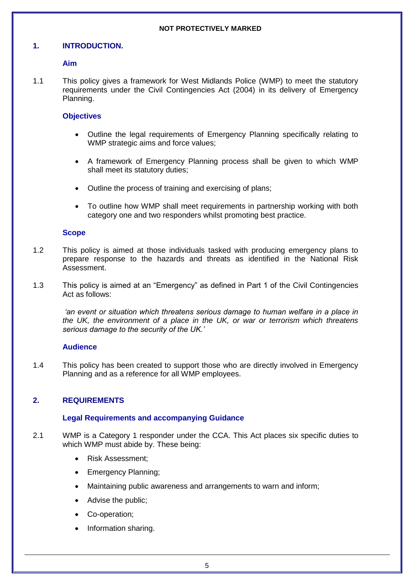#### <span id="page-4-0"></span>**1. INTRODUCTION.**

#### <span id="page-4-1"></span>**Aim**

1.1 This policy gives a framework for West Midlands Police (WMP) to meet the statutory requirements under the Civil Contingencies Act (2004) in its delivery of Emergency Planning.

#### <span id="page-4-2"></span>**Objectives**

- Outline the legal requirements of Emergency Planning specifically relating to WMP strategic aims and force values;
- A framework of Emergency Planning process shall be given to which WMP shall meet its statutory duties;
- Outline the process of training and exercising of plans;
- To outline how WMP shall meet requirements in partnership working with both category one and two responders whilst promoting best practice.

#### <span id="page-4-3"></span>**Scope**

- 1.2 This policy is aimed at those individuals tasked with producing emergency plans to prepare response to the hazards and threats as identified in the National Risk Assessment.
- 1.3 This policy is aimed at an "Emergency" as defined in Part 1 of the Civil Contingencies Act as follows:

*'an event or situation which threatens serious damage to human welfare in a place in the UK, the environment of a place in the UK, or war or terrorism which threatens serious damage to the security of the UK.'*

#### <span id="page-4-4"></span>**Audience**

1.4 This policy has been created to support those who are directly involved in Emergency Planning and as a reference for all WMP employees.

#### <span id="page-4-5"></span>**2. REQUIREMENTS**

#### <span id="page-4-6"></span>**Legal Requirements and accompanying Guidance**

- 2.1 WMP is a Category 1 responder under the CCA. This Act places six specific duties to which WMP must abide by. These being:
	- Risk Assessment;
	- Emergency Planning;
	- Maintaining public awareness and arrangements to warn and inform;
	- Advise the public;
	- Co-operation;
	- Information sharing.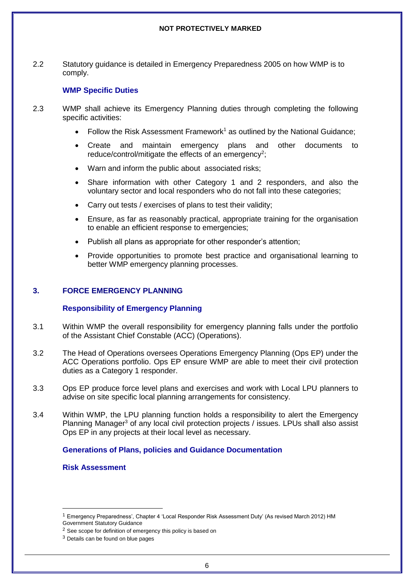2.2 Statutory guidance is detailed in Emergency Preparedness 2005 on how WMP is to comply.

#### <span id="page-5-0"></span>**WMP Specific Duties**

- 2.3 WMP shall achieve its Emergency Planning duties through completing the following specific activities:
	- Follow the Risk Assessment Framework<sup>1</sup> as outlined by the National Guidance;
	- Create and maintain emergency plans and other documents to reduce/control/mitigate the effects of an emergency<sup>2</sup>;
	- Warn and inform the public about associated risks;
	- Share information with other Category 1 and 2 responders, and also the voluntary sector and local responders who do not fall into these categories;
	- Carry out tests / exercises of plans to test their validity;
	- Ensure, as far as reasonably practical, appropriate training for the organisation to enable an efficient response to emergencies;
	- Publish all plans as appropriate for other responder's attention:
	- Provide opportunities to promote best practice and organisational learning to better WMP emergency planning processes.

#### <span id="page-5-1"></span>**3. FORCE EMERGENCY PLANNING**

#### <span id="page-5-2"></span>**Responsibility of Emergency Planning**

- 3.1 Within WMP the overall responsibility for emergency planning falls under the portfolio of the Assistant Chief Constable (ACC) (Operations).
- 3.2 The Head of Operations oversees Operations Emergency Planning (Ops EP) under the ACC Operations portfolio. Ops EP ensure WMP are able to meet their civil protection duties as a Category 1 responder.
- 3.3 Ops EP produce force level plans and exercises and work with Local LPU planners to advise on site specific local planning arrangements for consistency.
- 3.4 Within WMP, the LPU planning function holds a responsibility to alert the Emergency Planning Manager<sup>3</sup> of any local civil protection projects / issues. LPUs shall also assist Ops EP in any projects at their local level as necessary.

#### <span id="page-5-3"></span>**Generations of Plans, policies and Guidance Documentation**

<span id="page-5-4"></span>**Risk Assessment**

1

<sup>1</sup> Emergency Preparedness', Chapter 4 'Local Responder Risk Assessment Duty' (As revised March 2012) HM Government Statutory Guidance

<sup>&</sup>lt;sup>2</sup> See scope for definition of emergency this policy is based on

<sup>3</sup> Details can be found on blue pages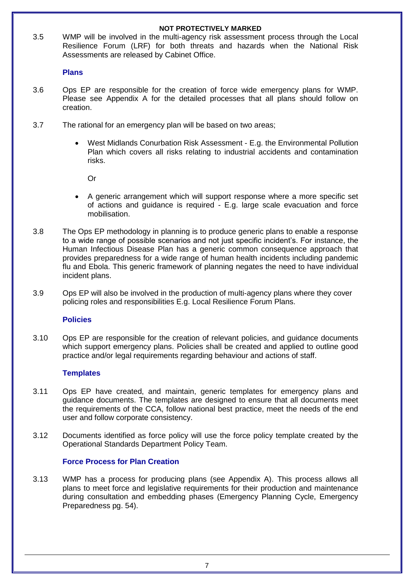**NOT PROTECTIVELY MARKED** 3.5 WMP will be involved in the multi-agency risk assessment process through the Local Resilience Forum (LRF) for both threats and hazards when the National Risk

Assessments are released by Cabinet Office.

#### <span id="page-6-0"></span>**Plans**

- 3.6 Ops EP are responsible for the creation of force wide emergency plans for WMP. Please see Appendix A for the detailed processes that all plans should follow on creation.
- 3.7 The rational for an emergency plan will be based on two areas;
	- West Midlands Conurbation Risk Assessment E.g. the Environmental Pollution Plan which covers all risks relating to industrial accidents and contamination risks.
		- Or
	- A generic arrangement which will support response where a more specific set of actions and guidance is required - E.g. large scale evacuation and force mobilisation.
- 3.8 The Ops EP methodology in planning is to produce generic plans to enable a response to a wide range of possible scenarios and not just specific incident's. For instance, the Human Infectious Disease Plan has a generic common consequence approach that provides preparedness for a wide range of human health incidents including pandemic flu and Ebola. This generic framework of planning negates the need to have individual incident plans.
- 3.9 Ops EP will also be involved in the production of multi-agency plans where they cover policing roles and responsibilities E.g. Local Resilience Forum Plans.

#### <span id="page-6-1"></span>**Policies**

3.10 Ops EP are responsible for the creation of relevant policies, and guidance documents which support emergency plans. Policies shall be created and applied to outline good practice and/or legal requirements regarding behaviour and actions of staff.

#### <span id="page-6-2"></span>**Templates**

- 3.11 Ops EP have created, and maintain, generic templates for emergency plans and guidance documents. The templates are designed to ensure that all documents meet the requirements of the CCA, follow national best practice, meet the needs of the end user and follow corporate consistency.
- 3.12 Documents identified as force policy will use the force policy template created by the Operational Standards Department Policy Team.

#### <span id="page-6-3"></span>**Force Process for Plan Creation**

3.13 WMP has a process for producing plans (see Appendix A). This process allows all plans to meet force and legislative requirements for their production and maintenance during consultation and embedding phases (Emergency Planning Cycle, Emergency Preparedness pg. 54).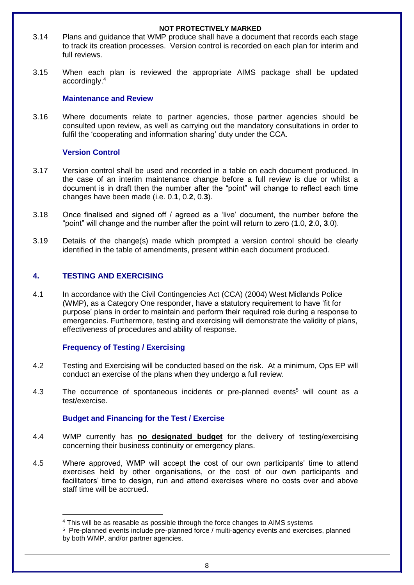- **NOT PROTECTIVELY MARKED** 3.14 Plans and guidance that WMP produce shall have a document that records each stage to track its creation processes. Version control is recorded on each plan for interim and full reviews.
- 3.15 When each plan is reviewed the appropriate AIMS package shall be updated accordingly.<sup>4</sup>

#### <span id="page-7-0"></span>**Maintenance and Review**

3.16 Where documents relate to partner agencies, those partner agencies should be consulted upon review, as well as carrying out the mandatory consultations in order to fulfil the 'cooperating and information sharing' duty under the CCA.

#### <span id="page-7-1"></span>**Version Control**

- 3.17 Version control shall be used and recorded in a table on each document produced. In the case of an interim maintenance change before a full review is due or whilst a document is in draft then the number after the "point" will change to reflect each time changes have been made (i.e. 0.**1**, 0.**2**, 0.**3**).
- 3.18 Once finalised and signed off / agreed as a 'live' document, the number before the "point" will change and the number after the point will return to zero (**1**.0, **2**.0, **3**.0).
- 3.19 Details of the change(s) made which prompted a version control should be clearly identified in the table of amendments, present within each document produced.

#### <span id="page-7-2"></span>**4. TESTING AND EXERCISING**

1

4.1 In accordance with the Civil Contingencies Act (CCA) (2004) West Midlands Police (WMP), as a Category One responder, have a statutory requirement to have 'fit for purpose' plans in order to maintain and perform their required role during a response to emergencies. Furthermore, testing and exercising will demonstrate the validity of plans, effectiveness of procedures and ability of response.

### <span id="page-7-3"></span>**Frequency of Testing / Exercising**

- 4.2 Testing and Exercising will be conducted based on the risk. At a minimum, Ops EP will conduct an exercise of the plans when they undergo a full review.
- 4.3 The occurrence of spontaneous incidents or pre-planned events<sup>5</sup> will count as a test/exercise.

#### <span id="page-7-4"></span>**Budget and Financing for the Test / Exercise**

- 4.4 WMP currently has **no designated budget** for the delivery of testing/exercising concerning their business continuity or emergency plans.
- 4.5 Where approved, WMP will accept the cost of our own participants' time to attend exercises held by other organisations, or the cost of our own participants and facilitators' time to design, run and attend exercises where no costs over and above staff time will be accrued.

<sup>4</sup> This will be as reasable as possible through the force changes to AIMS systems

<sup>5</sup> Pre-planned events include pre-planned force / multi-agency events and exercises, planned by both WMP, and/or partner agencies.

<sup>8</sup>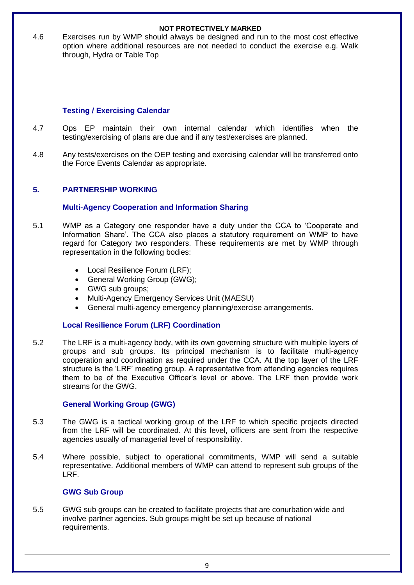**NOT PROTECTIVELY MARKED** 4.6 Exercises run by WMP should always be designed and run to the most cost effective option where additional resources are not needed to conduct the exercise e.g. Walk through, Hydra or Table Top

#### <span id="page-8-0"></span>**Testing / Exercising Calendar**

- 4.7 Ops EP maintain their own internal calendar which identifies when the testing/exercising of plans are due and if any test/exercises are planned.
- 4.8 Any tests/exercises on the OEP testing and exercising calendar will be transferred onto the Force Events Calendar as appropriate.

#### <span id="page-8-1"></span>**5. PARTNERSHIP WORKING**

#### <span id="page-8-2"></span>**Multi-Agency Cooperation and Information Sharing**

- 5.1 WMP as a Category one responder have a duty under the CCA to 'Cooperate and Information Share'. The CCA also places a statutory requirement on WMP to have regard for Category two responders. These requirements are met by WMP through representation in the following bodies:
	- Local Resilience Forum (LRF);
	- General Working Group (GWG);
	- GWG sub groups;
	- Multi-Agency Emergency Services Unit (MAESU)
	- General multi-agency emergency planning/exercise arrangements.

#### <span id="page-8-3"></span>**Local Resilience Forum (LRF) Coordination**

5.2 The LRF is a multi-agency body, with its own governing structure with multiple layers of groups and sub groups. Its principal mechanism is to facilitate multi-agency cooperation and coordination as required under the CCA. At the top layer of the LRF structure is the 'LRF' meeting group. A representative from attending agencies requires them to be of the Executive Officer's level or above. The LRF then provide work streams for the GWG.

#### <span id="page-8-4"></span>**General Working Group (GWG)**

- 5.3 The GWG is a tactical working group of the LRF to which specific projects directed from the LRF will be coordinated. At this level, officers are sent from the respective agencies usually of managerial level of responsibility.
- 5.4 Where possible, subject to operational commitments, WMP will send a suitable representative. Additional members of WMP can attend to represent sub groups of the LRF.

#### <span id="page-8-5"></span>**GWG Sub Group**

5.5 GWG sub groups can be created to facilitate projects that are conurbation wide and involve partner agencies. Sub groups might be set up because of national requirements.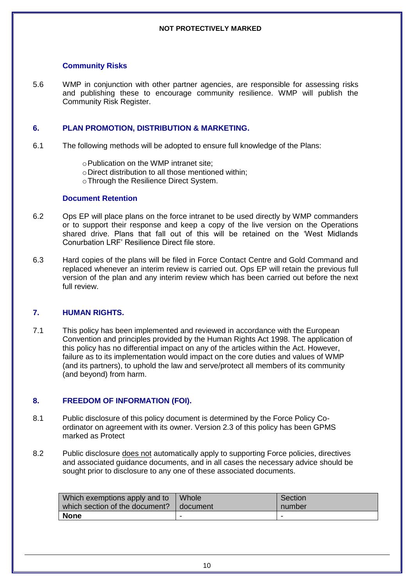#### <span id="page-9-0"></span>**Community Risks**

5.6 WMP in conjunction with other partner agencies, are responsible for assessing risks and publishing these to encourage community resilience. WMP will publish the Community Risk Register.

#### <span id="page-9-1"></span>**6. PLAN PROMOTION, DISTRIBUTION & MARKETING.**

6.1 The following methods will be adopted to ensure full knowledge of the Plans:

oPublication on the WMP intranet site;

- oDirect distribution to all those mentioned within;
- oThrough the Resilience Direct System.

#### <span id="page-9-2"></span>**Document Retention**

- 6.2 Ops EP will place plans on the force intranet to be used directly by WMP commanders or to support their response and keep a copy of the live version on the Operations shared drive. Plans that fall out of this will be retained on the 'West Midlands Conurbation LRF' Resilience Direct file store.
- 6.3 Hard copies of the plans will be filed in Force Contact Centre and Gold Command and replaced whenever an interim review is carried out. Ops EP will retain the previous full version of the plan and any interim review which has been carried out before the next full review.

#### <span id="page-9-3"></span>**7. HUMAN RIGHTS.**

7.1 This policy has been implemented and reviewed in accordance with the European Convention and principles provided by the Human Rights Act 1998. The application of this policy has no differential impact on any of the articles within the Act. However, failure as to its implementation would impact on the core duties and values of WMP (and its partners), to uphold the law and serve/protect all members of its community (and beyond) from harm.

#### <span id="page-9-4"></span>**8. FREEDOM OF INFORMATION (FOI).**

- 8.1 Public disclosure of this policy document is determined by the Force Policy Coordinator on agreement with its owner. Version 2.3 of this policy has been GPMS marked as Protect
- 8.2 Public disclosure does not automatically apply to supporting Force policies, directives and associated guidance documents, and in all cases the necessary advice should be sought prior to disclosure to any one of these associated documents.

| Which exemptions apply and to  | Whole      | Section |
|--------------------------------|------------|---------|
| which section of the document? | I document | number  |
| <b>None</b>                    | ۰          |         |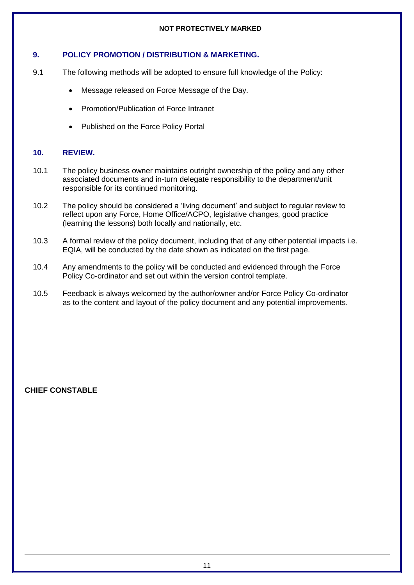#### <span id="page-10-0"></span>**9. POLICY PROMOTION / DISTRIBUTION & MARKETING.**

- 9.1 The following methods will be adopted to ensure full knowledge of the Policy:
	- Message released on Force Message of the Day.
	- Promotion/Publication of Force Intranet
	- Published on the Force Policy Portal

#### <span id="page-10-1"></span>**10. REVIEW.**

- 10.1 The policy business owner maintains outright ownership of the policy and any other associated documents and in-turn delegate responsibility to the department/unit responsible for its continued monitoring.
- 10.2 The policy should be considered a 'living document' and subject to regular review to reflect upon any Force, Home Office/ACPO, legislative changes, good practice (learning the lessons) both locally and nationally, etc.
- 10.3 A formal review of the policy document, including that of any other potential impacts i.e. EQIA, will be conducted by the date shown as indicated on the first page.
- 10.4 Any amendments to the policy will be conducted and evidenced through the Force Policy Co-ordinator and set out within the version control template.
- 10.5 Feedback is always welcomed by the author/owner and/or Force Policy Co-ordinator as to the content and layout of the policy document and any potential improvements.

**CHIEF CONSTABLE**